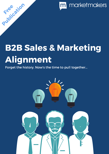marketmakers m

### B2B Sales & Marketing Alignment

Forget the history. Now's the time to pull together...

Publication

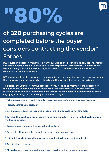# "80%



#### of B2B purchasing cycles are completed before the buyer considers contracting the vendor" - Forbes

B2B buyers and decision-makers are highly educated on the products and services they require, and they are hungry for information. Their desire for product/service information doesn't just happen during 'office hours' either. They will consume as much information as they can, whenever and wherever they can.

B2B buyers are firmly in control, and if you want to get their attention, nurture them and secure their business, then you need to be willing to put the work in – there's no shortcuts here.

To differentiate yourself from your competitors, you need to be maintaining the position of thought leader from the beginning to the end of the sales process. To do this, sales and marketing need to form a united front both in terms of knowledge and understanding when engaging, nurturing, and interacting with potential buyers.

With more competition and tighter budgets than ever before, your business needs to:

- 1 Identify your ideal customer
- 2 Define a sales-qualified lead and the marketing processes to nurture them

3 Develop the most appropriate messaging and execute a highly targeted multi-channel marketing strategy

- 4 Create engaging content to attract and nurture
- 5 Connect with prospects where they spend their precious time
- 6 Utilise telenurturing and telemarketing for lead follow-up and qualification
- 7 Pass the lead to sales
- 8 Close the loop, measure, refine and report to the senior management team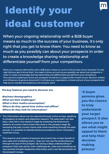

# Identify your ideal customer

When your ongoing relationship with a B2B buyer means so much to the success of your business, it's only right that you get to know them. You need to know as much as you possibly can about your prospects in order to create a knowledge sharing relationship and differentiate yourself from your competitors.

When your ongoing relationship with a B2B buyer means so much to the success of your business, it's only right that you get to know them. You need to know as much as you possibly can about your prospects in order to create a knowledge sharing relationship and differentiate yourself from your competitors. The outcome of getting to know your prospects should be a 2-page profile of each of your decision-makers and influencers (a persona document). It will give your organisation a clearer picture of your prospects and help you to visualise the people you are trying to reach.

#### The key features you need to discover are:

•Business demographics •What are their challenges? •What is their media consumption? •Where do they spend time online and offline? •Where do they look for information?

This information above can be captured through online surveys, speaking to prospects at events and telephone research. The sales team can also play a vital role in this research stage by reviewing the behavioural patterns of current clients when they were in the prospect stage. By reviewing the path current clients took while travelling through the sales process, it is possible to identify behavioural patterns which indicated a readiness to buy.

This research and creation of persona documents has a major benefit to your sales and marketing teams - they can now see the product/service through the eyes of the prospect. By having a deep understanding of prospects, their pain points, their challenges etc, sales and marketing can now provide thought leadership information and a real demonstration of the prospect's issues.

'A buyer persona gives you the chance to truly understand your target prospect. It also allows you to see what might appeal to them and help their decision making process'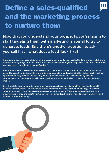#### Define a sales-qualified and the marketing process to nurture them

Now that you understand your prospects, you're going to start targeting them with marketing material to try to generate leads. But, there's another question to ask yourself first – what does a lead 'look' like?

Having done so much research to create the persona documents, you may be thinking 'do we really have to do more investigating?' And, the answer is yes. What is the point of generating leads, if you don't know what your sales team consider to be a qualified lead?

Round-up marketing, sales and telemarketing and hammer out 'what is a lead?' and when it should be passed to sales. In order for marketing and telemarketing to provide sales with the highest quality selling opportunities, they need to know exactly what a qualified lead is. Sales will most likely provide requirements such as geographical location, budget, and whether the lead is the confirmed decisionmaker.

One thing is for sure though, it's imperative that everyone knows what a qualified lead should look like, because an unqualified lead can cost sales time and resources (and they won't be happy). As the lead generation process continues, sales should be constantly reviewing/benchmarking their criteria for a qualified lead. If they find that the criteria need to be amended, then they need to inform marketing and telemarketing immediately.

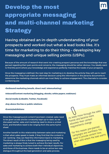#### Develop the most appropriate messaging and multi-channel marketing **Strategy**

Having obtained an in-depth understanding of your prospects and worked out what a lead looks like, it's time for marketing to do their thing – developing key messaging and unique selling points (USPs).

Because of the amount of research that went into creating prospect personas and the knowledge that was gained regarding their pain points and concerns, the messaging should be rather obvious. You ideally want to find the point where your knowledge and experience perfectly matches the needs of your prospects.

Once the messaging is defined, the next step for marketing is to develop the activity they will use to reach the prospects. They must make an informed decision using the information in the persona documents to determine the marketing channels which are most likely to achieve engagement. The channels to consider combining are:

•Outbound marketing (emails, direct mail, telemarketing)

•Inbound/Content marketing (blogging, ebooks, white papers, webinars)

•Social media (LinkedIn, Twitter, Facebook)

•Any above the line or public relations

•Events/exhibitions

Once the messaging and content have been created, sales need to be given access and be constantly kept up-to-date. As we discussed earlier, sales and marketing need to show a united front, and therefore need to be 'singing from the same hymn sheet'.

Another benefit to this relationship between sales and marketing is that when sales speak to leads, if they find that the content is not 'working', they can feed the information back to marketing. The direct result of this is that the messaging being used by marketing is always finely tuned to achieve the best results. For sales and marketing to achieve both their individual objectives, and those of the business, there needs to be an active two-way dialogue throughout the lead generation and sales process.

As leads move through the sales funnel and become more educated, their content requirements change. For this reason, pre-planned campaigns are worthless. You need to provide content how, when and where the lead wants it.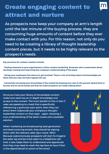#### Create engaging content to attract and nurture

As prospects now keep your company at arm's-length until the last minute of the buying process, they are consuming huge amounts of content before they ever make contact with you. For this reason, not only do you need to be creating a library of thought leadership content pieces, but it needs to be highly relevant to the prospect's needs.

Key practices for content creation include:

• Finding someone in your organisation to drive content marketing. Someone who is passionate about teaching, training and improving the company's understanding of the buyer

• Giving your employees the chance to get involved. There's a lot of writing talent and knowledge out there that you may not have tapped into yet

• Constantly increasing your knowledge of the market by keeping your ears to the ground. Spend time in forums and on social media and find out what prospects are really talking about

Once you have your library of remarkable content, make sure sales has an in-depth knowledge and access to the content. The main benefit to this is that if sales are speaking to a lead that is specifically referencing a particular pain point, then they can direct them to/provide your company's thought leadership content on that topic - again, showing a true understanding of the lead's issues and a possible solution.

When marketing are broadcasting lead generation and lead nurturing emails, they should be signing them with the relevant sales rep's name. Why? Because subconsciously prospects will start to imagine the sales rep and be more open to a telephone call. And, it also helps them to understand and appreciate that they may need to meet the rep face-to-face if that is the objective/call to action of the email.

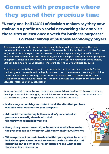#### Connect with prospects where they spend their precious time

"Nearly one-half (46%) of decision makers say they now maintain a profile on a social networking site and visit those sites at least once a week for business purposes" - Forrester survey of business technology buyers

The persona documents drafted in the research stage will have uncovered the most popular online locations of your prospects (for example LinkedIn, Twitter, industry forums etc). And this is where your business needs to be too. By positioning yourself in these locations and participating and interacting, you can gain great insight into your prospects' pain points, issues and thoughts. And, once you've established yourself in these arenas, you can begin to offer your content – therefore proving you're a trusted resource.

One thing that is vitally important to remember is that this practice is not only for the marketing team, sales should be highly involved too. If the sales team are wary of joining the social network community, then choose one salesperson to spearhead the move. 'Train' them on the relevant social sites, the tools available and inform them about the valuable information they can gather.

In today's world, companies and individuals use social media sites to discuss topics and developments which are hugely beneficial to sales and marketing teams, so don't miss out. Make sure you are using social networks to their full potential:

- Make sure you publish your content on all the sites that you have established as locations for your prospects
- Add social media sharing buttons to all of your content so prospects can easily share it with their friends/connections/followers etc
- Every time you send an email, include social media links so that the prospect can easily connect with you on their favourite sites
- When a prospect converts to a lead within your system, be sure to look them up on LinkedIn and Twitter etc so that both sales and marketing can see what their main issues are and what topics they have been discussing

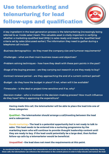#### Use telemarketing and telenurturing for lead follow-ups and qualification



A key ingredient in the lead generation process is the telemarketing (increasingly being referred to as 'inside sales') team. This valuable asset is vitally important in verifying whether a marketing-qualified lead (MQL) is sales-ready and meets the 'qualified lead' criteria set by sales (discussed earlier). The information they need to gather during a telephone call include:

•Business demographics – do they meet the company size and turnover requirements?

•Challenges – what are their main business issues and objectives?

•Problem solving techniques – how have they dealt with these pain points in the past?

•Stage of the buying process – are they carrying out research or are they ready to buy?

•Contract renewal period – are they approaching the end of a current contract period?

•Budget – do they have the budget in place? If not, when will it be available?

•Timescales – is the deal or project time sensitive and if so, why?

•Decision-maker – who is involved in the decision-making process? How much influence do they have? Who is approving the expenditure?

Having made this call, the telemarketer will be able to place the lead into one of three categories:

Qualified – The telemarketer should arrange a call/meeting between the lead and a salesperson.

Needs nurturing – The lead is a potential opportunity but is not ready to talk to sales. This lead needs to be entered into a nurturing programme by the marketing team who will continue to provide thought leadership content until they are ready to buy. If the lead could potentially be a large deal, then further follow-up calls by a telemarketer would be beneficial.

Unqualified – the lead does not meet the requirements at this point.

As mentioned before, it's important that telemarketers and sales have access to the content produced by marketing. During these calls, the telemarketer can reference the information in the content pieces in order to help educate and nurture the lead.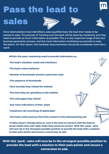### Pass the lead to

### sales







Once telemarketers have identified a sales-qualified lead, the lead then needs to be passed to sales. This process of 'handing over the lead' will be done by marketing, and they need to provide as much information as possible. This is a very important stage of the new business generation process, and the more information marketing can provide to sales, the better. For that reason, the handover documentation should be considered more like a 'pack'.

Within this pack, marketing need to provide information on...

- •The lead's situation, needs and intentions
- •The lead's online behavior
- •Number of downloads around a particular topic
- •The sequence of downloads
- •How recently they visited the website
- •The time they are spending on the website
- •The web pages they visited
- •Any more indications of their plans
- •Telephone call recordings (if applicable)

•The lead's entire journey from first contact to the telemarketing call

•If sales haven't already done so, now is the time to connect with the lead on social media sites and really make their presence known. With this 'pack', sales will now be in the strongest possible position to provide the lead with a solution to their pain points and secure a conversion to sale.

With this 'pack', sales will now be in the strongest possible position to provide the lead with a solution to their pain points and secure a conversion to sale.



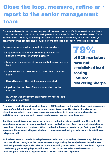#### Close the loop, measure, refine ard report to the senior management team

Once sales have started converting leads into new business, it's time to gather feedback, close the loop and optimise the lead generation process for the future. The reason for this investigation is that by reviewing the sales journey for successfully converted leads, you can improve the process and provide a more targeted approach for future prospects.

Key measurements which should be reviewed are:

- **Engagement rate: the number of prospects that** engaged with your marketing activity
- Lead rate: the number of prospects that converted to a lead
- Conversion rate: the number of leads that converted to a sale
- Closed business: the total revenue generated
- Pipeline: the number of leads that end up on the forecast
- ROI: what was the return on investment for the lead generation activities

79%

of B2B marketers have not established lead scoring - Source: MarketingSherpa

By using a marketing automation tool or a CRM system, the lifecycle stages and conversion points of each lead should be stored and easier to review. This streamlined approach to closed loop analysis means you can make amendments to your sales and marketing activities much quicker and convert leads to new business much sooner.

Another benefit to marketing automation is the lead scoring capabilities. The tool will award a set number of points to a lead based on their actions (such as a website visit or a download of a piece of content). When the lead achieves a points target (set by you), the system will automatically pass the lead to your telemarketing or sales team for a follow-up telephone call.

To further cement the relationship between sales and marketing, the two-way dialogue must continue through to the measurement stage. Using the analysis mentioned above, marketing needs to provide sales with a lead-quality report which will show how they are consistently generating high-quality leads. And in return, sales needs to report to . marketing on their leads, appointments, quotes, sales and pipelines.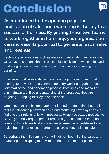# Conclusion



As mentioned in the opening page, the unification of sales and marketing is the key to a successful business. By getting these two teams to work together in harmony, your organisation can increase its potential to generate leads, sales and revenue.

Technological advances such as marketing automation and advanced CRM systems means that the once colossal divide between sales and marketing is slowly being reduced, and both sides are seeing the benefits.

Their newfound relationship is based on the principles of information sharing, team work and a common goal. By working together from the very start of the lead generation process, both sales and marketing can maintain a unified understanding of the prospects they are targeting – keeping their eyes on the prize.

One thing that has become apparent in modern marketing though, is that the relationship between sales and marketing now plays second fiddle to their relationship with prospects. Hugely educated prospective B2B buyers now require greater research (persona documents) and relevant, thought leadership-based engagement (content-based and multi-channel marketing) in order to secure a conversion to sale.

So perhaps the talk from now on will not be about aligning sales and marketing, but aligning them with the needs of their prospects.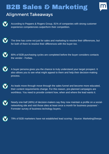#### **B2B Sales & Marketing**



#### Alignment Takeaways



According to Peppers & Rogers Group, 81% of companies with strong customer experience competencies outperform their competition.



The time has come not just for sales and marketing to resolve their differences, but for both of them to resolve their differences with the buyer too.





A buyer persona gives you the chance to truly understand your target prospect. It also allows you to see what might appeal to them and help their decision-making process.



As leads move through move through the sales funnel and become more educated, their content requirements change. For this reason, pre-planned campaigns are worthless. You need to provide content how, when and where the lead wants it.



Nearly one-half (46%) of decision-makers say they now maintain a profile on a socialnetworking site and visit those sites at least once a month for business purposes' - Forrester survey of business techology buyers.



79% of B2B marketers have not established lead scoring - Source: MarketingSherpa